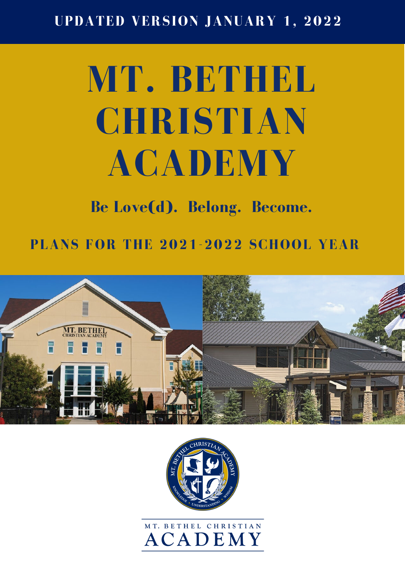### P **UPDATED VERSION JANUARY 1, 2022**

# **MT. BETHEL CHRISTIAN ACADEMY**

## **Be Love(d). Belong. Become.**

**PLANS FOR THE 2021-2022 SCHOOL YEAR**





## MT. BETHEL CHRISTIAN **ACADEMY**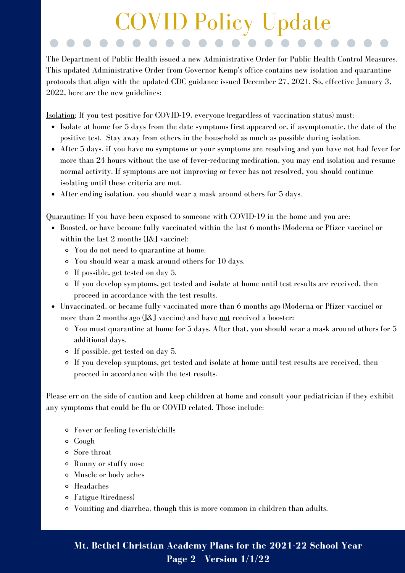## P COVID Policy Update

The Department of Public Health issued a new Administrative Order for Public Health Control Measures. This updated Administrative Order from Governor Kemp's office contains new isolation and quarantine protocols that align with the updated CDC guidance issued December 27, 2021. So, effective January 3, 2022, here are the new guidelines:

Isolation: If you test positive for COVID-19, everyone (regardless of vaccination status) must:

- Isolate at home for 5 days from the date symptoms first appeared or, if asymptomatic, the date of the positive test. Stay away from others in the household as much as possible during isolation.
- After 5 days, if you have no symptoms or your symptoms are resolving and you have not had fever for more than 24 hours without the use of fever-reducing medication, you may end isolation and resume normal activity. If symptoms are not improving or fever has not resolved, you should continue isolating until these criteria are met.
- After ending isolation, you should wear a mask around others for 5 days.

Quarantine: If you have been exposed to someone with COVID-19 in the home and you are:

- Boosted, or have become fully vaccinated within the last 6 months (Moderna or Pfizer vaccine) or within the last 2 months (J&J vaccine):
	- You do not need to quarantine at home.
	- You should wear a mask around others for 10 days.
	- If possible, get tested on day 5.
	- If you develop symptoms, get tested and isolate at home until test results are received, then proceed in accordance with the test results.
- Unvaccinated, or became fully vaccinated more than 6 months ago (Moderna or Pfizer vaccine) or more than 2 months ago (J&J vaccine) and have not received a booster:
	- You must quarantine at home for 5 days. After that, you should wear a mask around others for 5 additional days.
	- If possible, get tested on day 5.
	- If you develop symptoms, get tested and isolate at home until test results are received, then proceed in accordance with the test results.

Please err on the side of caution and keep children at home and consult your pediatrician if they exhibit any symptoms that could be flu or COVID related. Those include:

- Fever or feeling feverish/chills
- Cough
- Sore throat
- Runny or stuffy nose
- Muscle or body aches
- Headaches
- Fatigue (tiredness)
- Vomiting and diarrhea, though this is more common in children than adults.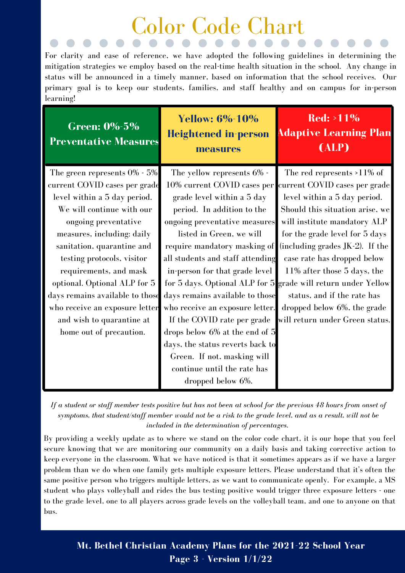# Color Code Chart

For clarity and ease of reference, we have adopted the following guidelines in determining the mitigation strategies we employ based on the real-time health situation in the school. Any change in status will be announced in a timely manner, based on information that the school receives. Our primary goal is to keep our students, families, and staff healthy and on campus for in-person learning!

| Green: 0%-5%<br><b>Preventative Measures</b> | <b>Yellow: 6%-10%</b><br><b>Heightened in-person</b><br>measures | $\overline{\text{Red}}$ : >11%<br><b>Adaptive Learning Plan</b><br>(ALP) |
|----------------------------------------------|------------------------------------------------------------------|--------------------------------------------------------------------------|
| The green represents 0% - 5%                 | The yellow represents 6% -                                       | The red represents >11% of                                               |
| current COVID cases per grade                | 10% current COVID cases per                                      | current COVID cases per grade                                            |
| level within a 5 day period.                 | grade level within a 5 day                                       | level within a 5 day period.                                             |
| We will continue with our                    | period. In addition to the                                       | Should this situation arise, we                                          |
| ongoing preventative                         | ongoing preventative measures                                    | will institute mandatory ALP                                             |
| measures, including: daily                   | listed in Green, we will                                         | for the grade level for 5 days                                           |
| sanitation, quarantine and                   | require mandatory masking of                                     | (including grades $JK-2$ ). If the                                       |
| testing protocols, visitor                   | all students and staff attending                                 | case rate has dropped below                                              |
| requirements, and mask                       | in-person for that grade level                                   | 11% after those 5 days, the                                              |
| optional. Optional ALP for 5                 |                                                                  | for 5 days. Optional ALP for 5 grade will return under Yellow            |
| days remains available to those              | days remains available to those                                  | status, and if the rate has                                              |
| who receive an exposure letter               | who receive an exposure letter.                                  | dropped below 6%, the grade                                              |
| and wish to quarantine at                    | If the COVID rate per grade                                      | will return under Green status.                                          |
| home out of precaution.                      | drops below 6% at the end of 5                                   |                                                                          |
|                                              | days, the status reverts back to                                 |                                                                          |
|                                              | Green. If not, masking will                                      |                                                                          |
|                                              | continue until the rate has                                      |                                                                          |
|                                              | dropped below 6%.                                                |                                                                          |

If a student or staff member tests positive but has not been at school for the previous 48 hours from onset of symptoms, that student/staff member would not be a risk to the grade level, and as a result, will not be *included in the determination of percentages.*

By providing a weekly update as to where we stand on the color code chart, it is our hope that you feel secure knowing that we are monitoring our community on a daily basis and taking corrective action to keep everyone in the classroom. What we have noticed is that it sometimes appears as if we have a larger problem than we do when one family gets multiple exposure letters. Please understand that it's often the same positive person who triggers multiple letters, as we want to communicate openly. For example, a MS student who plays volleyball and rides the bus testing positive would trigger three exposure letters - one to the grade level, one to all players across grade levels on the volleyball team, and one to anyone on that bus.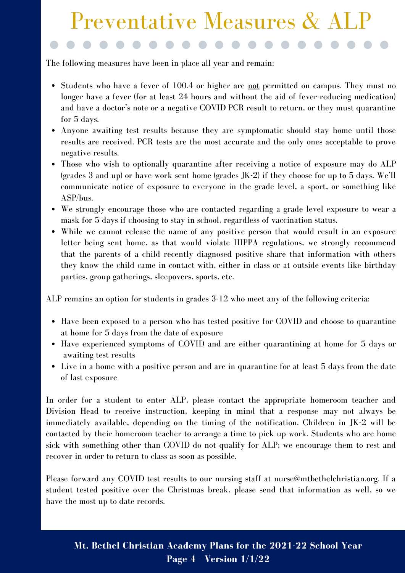## Preventative Measures & ALP

The following measures have been in place all year and remain:

P

- Students who have a fever of 100.4 or higher are not permitted on campus. They must no longer have a fever (for at least 24 hours and without the aid of fever-reducing medication) and have a doctor's note or a negative COVID PCR result to return, or they must quarantine for 5 days.
- Anyone awaiting test results because they are symptomatic should stay home until those results are received. PCR tests are the most accurate and the only ones acceptable to prove negative results.
- Those who wish to optionally quarantine after receiving a notice of exposure may do ALP (grades 3 and up) or have work sent home (grades JK-2) if they choose for up to 5 days. We'll communicate notice of exposure to everyone in the grade level, a sport, or something like ASP/bus.
- We strongly encourage those who are contacted regarding a grade level exposure to wear a mask for 5 days if choosing to stay in school, regardless of vaccination status.
- While we cannot release the name of any positive person that would result in an exposure letter being sent home, as that would violate HIPPA regulations, we strongly recommend that the parents of a child recently diagnosed positive share that information with others they know the child came in contact with, either in class or at outside events like birthday parties, group gatherings, sleepovers, sports, etc.

ALP remains an option for students in grades 3-12 who meet any of the following criteria:

- Have been exposed to a person who has tested positive for COVID and choose to quarantine at home for 5 days from the date of exposure
- Have experienced symptoms of COVID and are either quarantining at home for 5 days or awaiting test results
- Live in a home with a positive person and are in quarantine for at least 5 days from the date of last exposure

In order for a student to enter ALP, please contact the appropriate homeroom teacher and Division Head to receive instruction, keeping in mind that a response may not always be immediately available, depending on the timing of the notification. Children in JK-2 will be contacted by their homeroom teacher to arrange a time to pick up work. Students who are home sick with something other than COVID do not qualify for ALP; we encourage them to rest and recover in order to return to class as soon as possible.

Please forward any COVID test results to our nursing staff at nurse@mtbethelchristian.org. If a student tested positive over the Christmas break, please send that information as well, so we have the most up to date records.